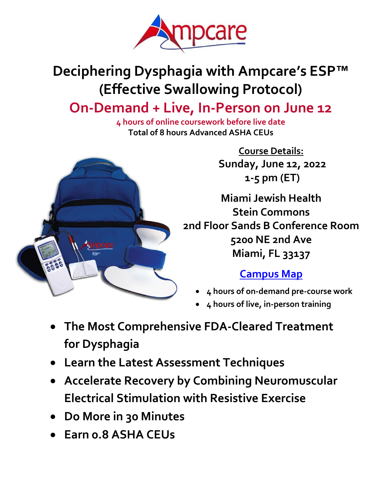

# **Deciphering Dysphagia with Ampcare's ESP™ (Effective Swallowing Protocol)**

# **On-Demand + Live, In-Person on June 12**

**4 hours of online coursework before live date Total of 8 hours Advanced ASHA CEUs**



**Course Details: Sunday, June 12, 2022 1-5 pm (ET)**

**Miami Jewish Health Stein Commons 2nd Floor Sands B Conference Room 5200 NE 2nd Ave Miami, FL 33137**

## **[Campus Map](https://www.miamijewishhealth.org/wp-content/uploads/2019/10/MJH-CampusMap-2page.pdf)**

- **4 hours of on-demand pre-course work**
- **4 hours of live, in-person training**
- **The Most Comprehensive FDA-Cleared Treatment for Dysphagia**
- **Learn the Latest Assessment Techniques**
- **Accelerate Recovery by Combining Neuromuscular Electrical Stimulation with Resistive Exercise**
- **Do More in 30 Minutes**
- **Earn 0.8 ASHA CEUs**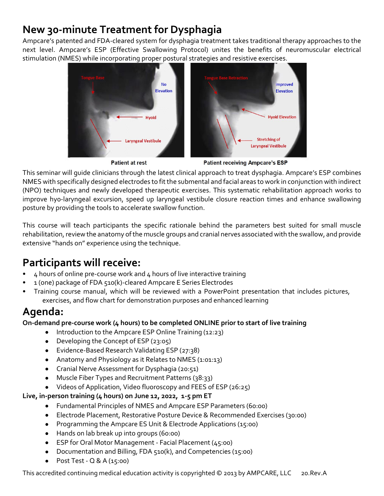## **New 30-minute Treatment for Dysphagia**

Ampcare's patented and FDA-cleared system for dysphagia treatment takes traditional therapy approaches to the next level. Ampcare's ESP (Effective Swallowing Protocol) unites the benefits of neuromuscular electrical stimulation (NMES) while incorporating proper postural strategies and resistive exercises.



**Patient at rest** 

**Patient receiving Ampcare's ESP** 

This seminar will guide clinicians through the latest clinical approach to treat dysphagia. Ampcare's ESP combines NMES with specifically designed electrodes to fit the submental and facial areas to work in conjunction with indirect (NPO) techniques and newly developed therapeutic exercises. This systematic rehabilitation approach works to improve hy0-laryngeal excursion, speed up laryngeal vestibule closure reaction times and enhance swallowing posture by providing the tools to accelerate swallow function.

This course will teach participants the specific rationale behind the parameters best suited for small muscle rehabilitation, review the anatomy of the muscle groups and cranial nerves associated with the swallow, and provide extensive "hands on" experience using the technique.

## **Participants will receive:**

- 4 hours of online pre-course work and 4 hours of live interactive training
- 1 (one) package of FDA 510(k)-cleared Ampcare E Series Electrodes
- Training course manual, which will be reviewed with a PowerPoint presentation that includes pictures, exercises, and flow chart for demonstration purposes and enhanced learning

## **Agenda:**

**On-demand pre-course work (4 hours) to be completed ONLINE prior to start of live training**

- Introduction to the Ampcare ESP Online Training (12:23)
- Developing the Concept of ESP (23:05)
- Evidence-Based Research Validating ESP (27:38)
- Anatomy and Physiology as it Relates to NMES (1:01:13)
- Cranial Nerve Assessment for Dysphagia (20:51)
- Muscle Fiber Types and Recruitment Patterns (38:33)
- Videos of Application, Video fluoroscopy and FEES of ESP (26:25)

#### **Live, in-person training (4 hours) on June 12, 2022, 1-5 pm ET**

- Fundamental Principles of NMES and Ampcare ESP Parameters (60:00)
- Electrode Placement, Restorative Posture Device & Recommended Exercises (30:00)
- Programming the Ampcare ES Unit & Electrode Applications (15:00)
- Hands on lab break up into groups (60:00)
- ESP for Oral Motor Management Facial Placement (45:00)
- Documentation and Billing, FDA 510(k), and Competencies (15:00)
- Post Test  $Q$  & A (15:00)

This accredited continuing medical education activity is copyrighted © 2013 by AMPCARE, LLC 20.Rev.A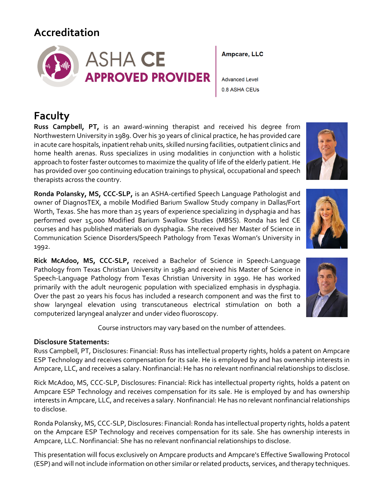## **Accreditation**



## **Faculty**

**Russ Campbell, PT,** is an award-winning therapist and received his degree from Northwestern University in 1989. Over his 30 years of clinical practice, he has provided care in acute care hospitals, inpatient rehab units, skilled nursing facilities, outpatient clinics and home health arenas. Russ specializes in using modalities in conjunction with a holistic approach to foster faster outcomes to maximize the quality of life of the elderly patient. He has provided over 500 continuing education trainings to physical, occupational and speech therapists across the country.

**Ronda Polansky, MS, CCC-SLP,** is an ASHA-certified Speech Language Pathologist and owner of DiagnosTEX, a mobile Modified Barium Swallow Study company in Dallas/Fort Worth, Texas. She has more than 25 years of experience specializing in dysphagia and has performed over 15,000 Modified Barium Swallow Studies (MBSS). Ronda has led CE courses and has published materials on dysphagia. She received her Master of Science in Communication Science Disorders/Speech Pathology from Texas Woman's University in 1992.

**Rick McAdoo, MS, CCC-SLP,** received a Bachelor of Science in Speech-Language Pathology from Texas Christian University in 1989 and received his Master of Science in Speech-Language Pathology from Texas Christian University in 1990. He has worked primarily with the adult neurogenic population with specialized emphasis in dysphagia. Over the past 20 years his focus has included a research component and was the first to show laryngeal elevation using transcutaneous electrical stimulation on both a computerized laryngeal analyzer and under video fluoroscopy.

Course instructors may vary based on the number of attendees.

#### **Disclosure Statements:**

Russ Campbell, PT, Disclosures: Financial: Russ has intellectual property rights, holds a patent on Ampcare ESP Technology and receives compensation for its sale. He is employed by and has ownership interests in Ampcare, LLC, and receives a salary. Nonfinancial: He has no relevant nonfinancial relationships to disclose.

Rick McAdoo, MS, CCC-SLP, Disclosures: Financial: Rick has intellectual property rights, holds a patent on Ampcare ESP Technology and receives compensation for its sale. He is employed by and has ownership interests in Ampcare, LLC, and receives a salary. Nonfinancial: He has no relevant nonfinancial relationships to disclose.

Ronda Polansky, MS, CCC-SLP, Disclosures: Financial: Ronda has intellectual property rights, holds a patent on the Ampcare ESP Technology and receives compensation for its sale. She has ownership interests in Ampcare, LLC. Nonfinancial: She has no relevant nonfinancial relationships to disclose.

This presentation will focus exclusively on Ampcare products and Ampcare's Effective Swallowing Protocol (ESP) and will not include information on other similar or related products, services, and therapy techniques.

**Ampcare, LLC** 

**Advanced Level** 0.8 ASHA CEUs